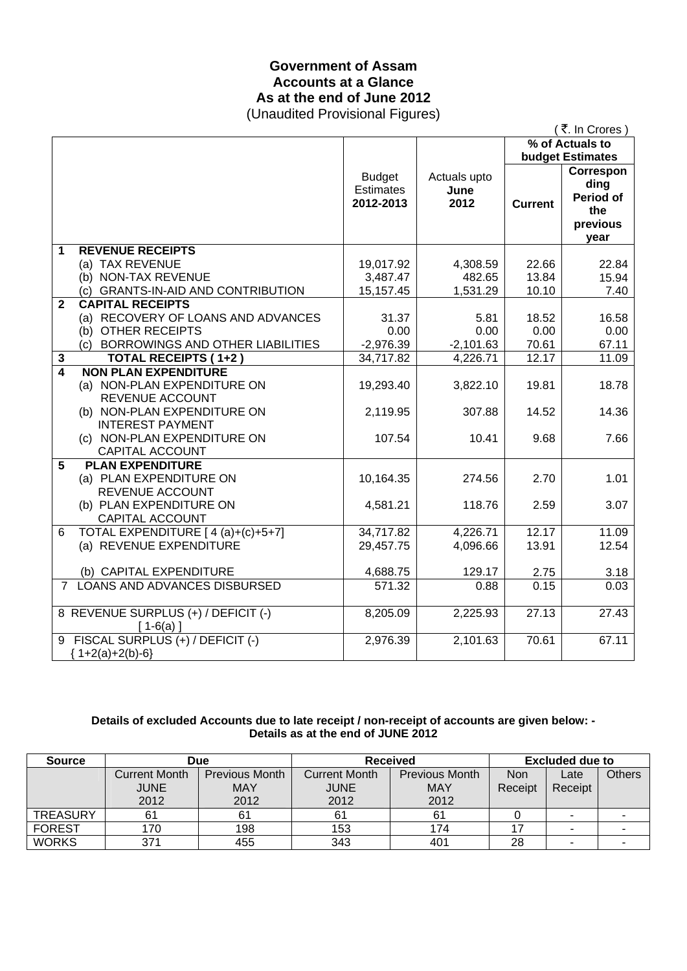### **Government of Assam Accounts at a Glance As at the end of June 2012**  (Unaudited Provisional Figures)

|              |                                                                                                                                         |                                                |                                |                         | (₹. In Crores)                                                                              |
|--------------|-----------------------------------------------------------------------------------------------------------------------------------------|------------------------------------------------|--------------------------------|-------------------------|---------------------------------------------------------------------------------------------|
|              |                                                                                                                                         |                                                |                                |                         | % of Actuals to                                                                             |
|              |                                                                                                                                         | <b>Budget</b><br><b>Estimates</b><br>2012-2013 | Actuals upto<br>June<br>2012   | <b>Current</b>          | <b>budget Estimates</b><br>Correspon<br>ding<br><b>Period of</b><br>the<br>previous<br>vear |
| 1            | <b>REVENUE RECEIPTS</b><br>(a) TAX REVENUE<br>(b) NON-TAX REVENUE<br>(c) GRANTS-IN-AID AND CONTRIBUTION                                 | 19,017.92<br>3,487.47<br>15,157.45             | 4,308.59<br>482.65<br>1,531.29 | 22.66<br>13.84<br>10.10 | 22.84<br>15.94<br>7.40                                                                      |
| $\mathbf{2}$ | <b>CAPITAL RECEIPTS</b><br>(a) RECOVERY OF LOANS AND ADVANCES<br>(b) OTHER RECEIPTS<br>(c) BORROWINGS AND OTHER LIABILITIES             | 31.37<br>0.00<br>$-2,976.39$                   | 5.81<br>0.00<br>$-2,101.63$    | 18.52<br>0.00<br>70.61  | 16.58<br>0.00<br>67.11                                                                      |
| 3            | <b>TOTAL RECEIPTS (1+2)</b>                                                                                                             | 34,717.82                                      | 4,226.71                       | 12.17                   | 11.09                                                                                       |
| 4            | <b>NON PLAN EXPENDITURE</b><br>(a) NON-PLAN EXPENDITURE ON<br>REVENUE ACCOUNT<br>(b) NON-PLAN EXPENDITURE ON<br><b>INTEREST PAYMENT</b> | 19,293.40<br>2,119.95                          | 3,822.10<br>307.88             | 19.81<br>14.52          | 18.78<br>14.36                                                                              |
|              | (c) NON-PLAN EXPENDITURE ON<br><b>CAPITAL ACCOUNT</b>                                                                                   | 107.54                                         | 10.41                          | 9.68                    | 7.66                                                                                        |
| 5            | <b>PLAN EXPENDITURE</b><br>(a) PLAN EXPENDITURE ON<br>REVENUE ACCOUNT<br>(b) PLAN EXPENDITURE ON                                        | 10,164.35<br>4,581.21                          | 274.56<br>118.76               | 2.70<br>2.59            | 1.01<br>3.07                                                                                |
| 6            | <b>CAPITAL ACCOUNT</b><br>TOTAL EXPENDITURE [4(a)+(c)+5+7]                                                                              | 34,717.82                                      | 4,226.71                       | 12.17                   | 11.09                                                                                       |
|              | (a) REVENUE EXPENDITURE                                                                                                                 | 29,457.75                                      | 4,096.66                       | 13.91                   | 12.54                                                                                       |
|              | (b) CAPITAL EXPENDITURE                                                                                                                 | 4,688.75                                       | 129.17                         | 2.75                    | 3.18                                                                                        |
|              | 7 LOANS AND ADVANCES DISBURSED                                                                                                          | 571.32                                         | 0.88                           | 0.15                    | 0.03                                                                                        |
|              | 8 REVENUE SURPLUS (+) / DEFICIT (-)<br>$[1-6(a)]$                                                                                       | 8,205.09                                       | 2,225.93                       | 27.13                   | 27.43                                                                                       |
|              | 9 FISCAL SURPLUS (+) / DEFICIT (-)<br>${1+2(a)+2(b)-6}$                                                                                 | 2,976.39                                       | 2,101.63                       | 70.61                   | 67.11                                                                                       |

### **Details of excluded Accounts due to late receipt / non-receipt of accounts are given below: - Details as at the end of JUNE 2012**

| <b>Source</b>   | <b>Due</b>           |                       | <b>Received</b>      |                       | <b>Excluded due to</b> |         |        |
|-----------------|----------------------|-----------------------|----------------------|-----------------------|------------------------|---------|--------|
|                 | <b>Current Month</b> | <b>Previous Month</b> | <b>Current Month</b> | <b>Previous Month</b> | <b>Non</b>             | Late    | Others |
|                 | <b>JUNE</b>          | <b>MAY</b>            | <b>JUNE</b>          | <b>MAY</b>            | Receipt                | Receipt |        |
|                 | 2012                 | 2012                  | 2012                 | 2012                  |                        |         |        |
| <b>TREASURY</b> | 61                   | 61                    |                      | 61                    |                        | ۰       |        |
| <b>FOREST</b>   | 170                  | 198                   | 153                  | 174                   |                        |         |        |
| <b>WORKS</b>    | 371                  | 455                   | 343                  | 401                   | 28                     |         |        |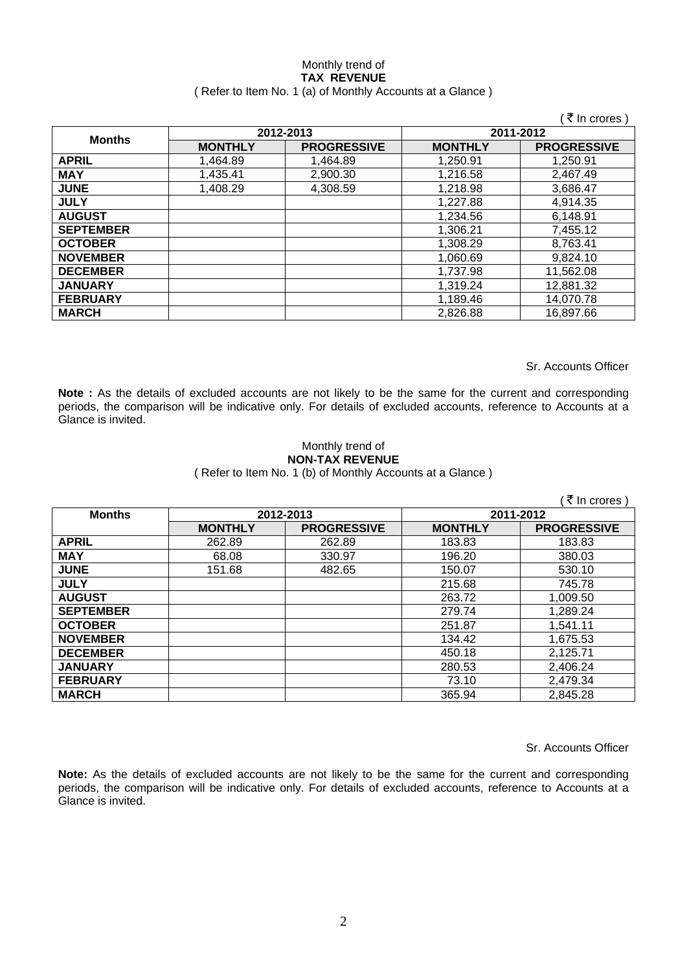#### Monthly trend of **TAX REVENUE**  ( Refer to Item No. 1 (a) of Monthly Accounts at a Glance )

|                  |                |                    |                | ₹ In crores )      |
|------------------|----------------|--------------------|----------------|--------------------|
| <b>Months</b>    |                | 2012-2013          | 2011-2012      |                    |
|                  | <b>MONTHLY</b> | <b>PROGRESSIVE</b> | <b>MONTHLY</b> | <b>PROGRESSIVE</b> |
| <b>APRIL</b>     | 1,464.89       | 1,464.89           | 1,250.91       | 1.250.91           |
| <b>MAY</b>       | 1,435.41       | 2,900.30           | 1,216.58       | 2,467.49           |
| <b>JUNE</b>      | 1,408.29       | 4,308.59           | 1,218.98       | 3,686.47           |
| <b>JULY</b>      |                |                    | 1,227.88       | 4,914.35           |
| <b>AUGUST</b>    |                |                    | 1,234.56       | 6.148.91           |
| <b>SEPTEMBER</b> |                |                    | 1,306.21       | 7,455.12           |
| <b>OCTOBER</b>   |                |                    | 1,308.29       | 8,763.41           |
| <b>NOVEMBER</b>  |                |                    | 1,060.69       | 9,824.10           |
| <b>DECEMBER</b>  |                |                    | 1,737.98       | 11,562.08          |
| <b>JANUARY</b>   |                |                    | 1,319.24       | 12,881.32          |
| <b>FEBRUARY</b>  |                |                    | 1,189.46       | 14,070.78          |
| <b>MARCH</b>     |                |                    | 2,826.88       | 16,897.66          |

Sr. Accounts Officer

**Note :** As the details of excluded accounts are not likely to be the same for the current and corresponding periods, the comparison will be indicative only. For details of excluded accounts, reference to Accounts at a Glance is invited.

#### Monthly trend of **NON-TAX REVENUE**  ( Refer to Item No. 1 (b) of Monthly Accounts at a Glance )

|                  |                |                    |                | ₹ In crores        |
|------------------|----------------|--------------------|----------------|--------------------|
| <b>Months</b>    |                | 2012-2013          | 2011-2012      |                    |
|                  | <b>MONTHLY</b> | <b>PROGRESSIVE</b> | <b>MONTHLY</b> | <b>PROGRESSIVE</b> |
| <b>APRIL</b>     | 262.89         | 262.89             | 183.83         | 183.83             |
| <b>MAY</b>       | 68.08          | 330.97             | 196.20         | 380.03             |
| <b>JUNE</b>      | 151.68         | 482.65             | 150.07         | 530.10             |
| <b>JULY</b>      |                |                    | 215.68         | 745.78             |
| <b>AUGUST</b>    |                |                    | 263.72         | 1.009.50           |
| <b>SEPTEMBER</b> |                |                    | 279.74         | 1,289.24           |
| <b>OCTOBER</b>   |                |                    | 251.87         | 1,541.11           |
| <b>NOVEMBER</b>  |                |                    | 134.42         | 1,675.53           |
| <b>DECEMBER</b>  |                |                    | 450.18         | 2,125.71           |
| <b>JANUARY</b>   |                |                    | 280.53         | 2,406.24           |
| <b>FEBRUARY</b>  |                |                    | 73.10          | 2,479.34           |
| <b>MARCH</b>     |                |                    | 365.94         | 2,845.28           |

Sr. Accounts Officer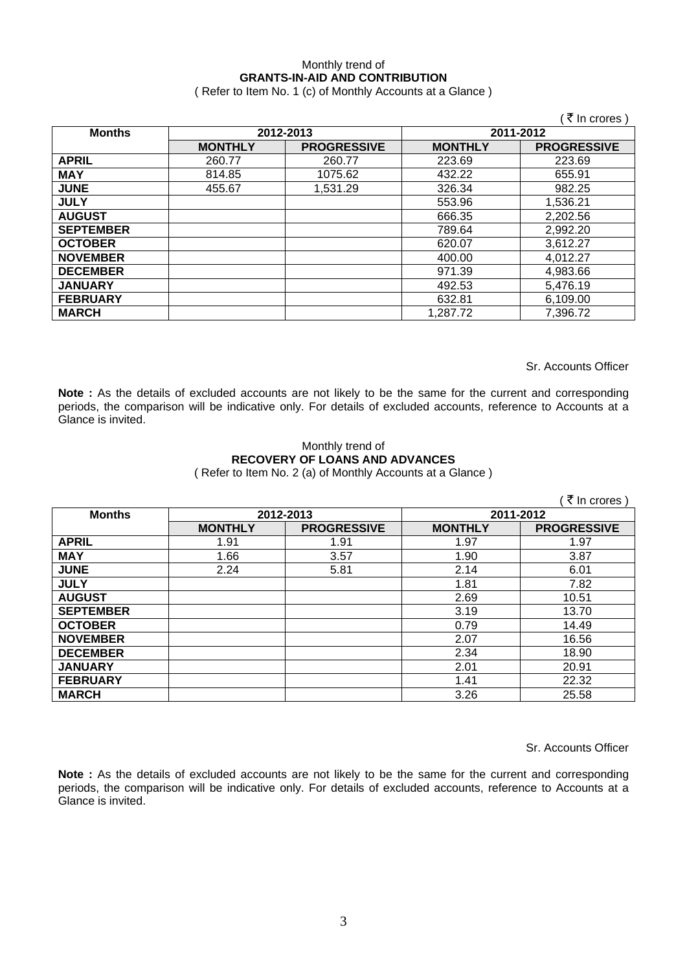### Monthly trend of **GRANTS-IN-AID AND CONTRIBUTION**

( Refer to Item No. 1 (c) of Monthly Accounts at a Glance )

|                  |                |                    |                | ं ₹ In crores )    |
|------------------|----------------|--------------------|----------------|--------------------|
| <b>Months</b>    | 2012-2013      |                    | 2011-2012      |                    |
|                  | <b>MONTHLY</b> | <b>PROGRESSIVE</b> | <b>MONTHLY</b> | <b>PROGRESSIVE</b> |
| <b>APRIL</b>     | 260.77         | 260.77             | 223.69         | 223.69             |
| <b>MAY</b>       | 814.85         | 1075.62            | 432.22         | 655.91             |
| <b>JUNE</b>      | 455.67         | 1,531.29           | 326.34         | 982.25             |
| <b>JULY</b>      |                |                    | 553.96         | 1,536.21           |
| <b>AUGUST</b>    |                |                    | 666.35         | 2,202.56           |
| <b>SEPTEMBER</b> |                |                    | 789.64         | 2,992.20           |
| <b>OCTOBER</b>   |                |                    | 620.07         | 3,612.27           |
| <b>NOVEMBER</b>  |                |                    | 400.00         | 4,012.27           |
| <b>DECEMBER</b>  |                |                    | 971.39         | 4,983.66           |
| <b>JANUARY</b>   |                |                    | 492.53         | 5,476.19           |
| <b>FEBRUARY</b>  |                |                    | 632.81         | 6,109.00           |
| <b>MARCH</b>     |                |                    | 1,287.72       | 7,396.72           |

Sr. Accounts Officer

**Note :** As the details of excluded accounts are not likely to be the same for the current and corresponding periods, the comparison will be indicative only. For details of excluded accounts, reference to Accounts at a Glance is invited.

#### Monthly trend of **RECOVERY OF LOANS AND ADVANCES**  ( Refer to Item No. 2 (a) of Monthly Accounts at a Glance )

|                  |                |                    |                | ₹ In crores        |
|------------------|----------------|--------------------|----------------|--------------------|
| <b>Months</b>    |                | 2012-2013          | 2011-2012      |                    |
|                  | <b>MONTHLY</b> | <b>PROGRESSIVE</b> | <b>MONTHLY</b> | <b>PROGRESSIVE</b> |
| <b>APRIL</b>     | 1.91           | 1.91               | 1.97           | 1.97               |
| <b>MAY</b>       | 1.66           | 3.57               | 1.90           | 3.87               |
| <b>JUNE</b>      | 2.24           | 5.81               | 2.14           | 6.01               |
| <b>JULY</b>      |                |                    | 1.81           | 7.82               |
| <b>AUGUST</b>    |                |                    | 2.69           | 10.51              |
| <b>SEPTEMBER</b> |                |                    | 3.19           | 13.70              |
| <b>OCTOBER</b>   |                |                    | 0.79           | 14.49              |
| <b>NOVEMBER</b>  |                |                    | 2.07           | 16.56              |
| <b>DECEMBER</b>  |                |                    | 2.34           | 18.90              |
| <b>JANUARY</b>   |                |                    | 2.01           | 20.91              |
| <b>FEBRUARY</b>  |                |                    | 1.41           | 22.32              |
| <b>MARCH</b>     |                |                    | 3.26           | 25.58              |

Sr. Accounts Officer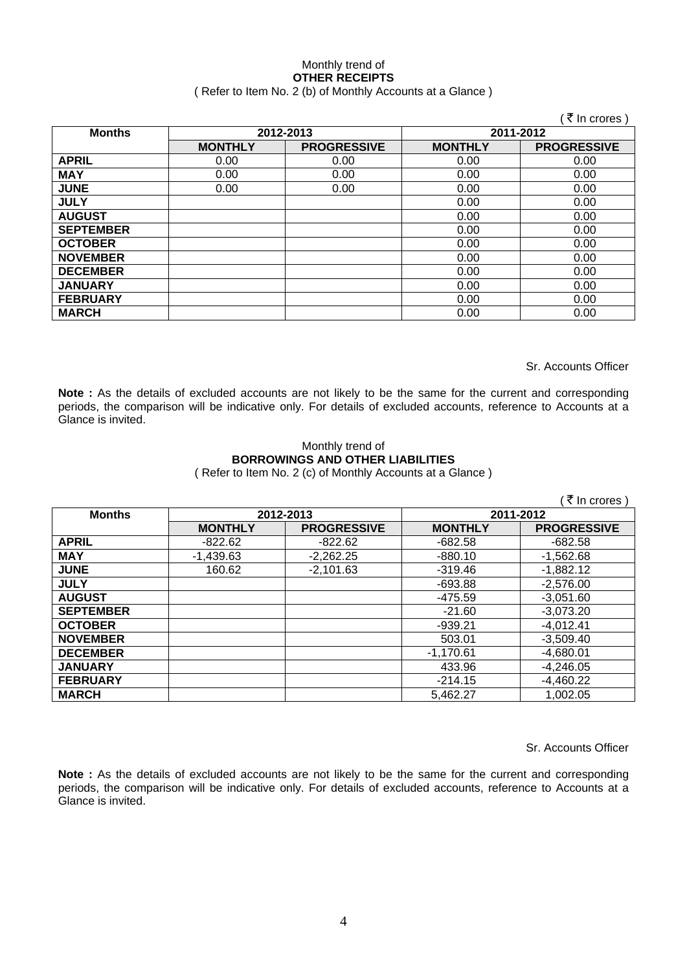#### Monthly trend of **OTHER RECEIPTS**  ( Refer to Item No. 2 (b) of Monthly Accounts at a Glance )

|                  |                |                    |                | ₹ In crores )      |
|------------------|----------------|--------------------|----------------|--------------------|
| <b>Months</b>    |                | 2012-2013          | 2011-2012      |                    |
|                  | <b>MONTHLY</b> | <b>PROGRESSIVE</b> | <b>MONTHLY</b> | <b>PROGRESSIVE</b> |
| <b>APRIL</b>     | 0.00           | 0.00               | 0.00           | 0.00               |
| <b>MAY</b>       | 0.00           | 0.00               | 0.00           | 0.00               |
| <b>JUNE</b>      | 0.00           | 0.00               | 0.00           | 0.00               |
| <b>JULY</b>      |                |                    | 0.00           | 0.00               |
| <b>AUGUST</b>    |                |                    | 0.00           | 0.00               |
| <b>SEPTEMBER</b> |                |                    | 0.00           | 0.00               |
| <b>OCTOBER</b>   |                |                    | 0.00           | 0.00               |
| <b>NOVEMBER</b>  |                |                    | 0.00           | 0.00               |
| <b>DECEMBER</b>  |                |                    | 0.00           | 0.00               |
| <b>JANUARY</b>   |                |                    | 0.00           | 0.00               |
| <b>FEBRUARY</b>  |                |                    | 0.00           | 0.00               |
| <b>MARCH</b>     |                |                    | 0.00           | 0.00               |

Sr. Accounts Officer

**Note :** As the details of excluded accounts are not likely to be the same for the current and corresponding periods, the comparison will be indicative only. For details of excluded accounts, reference to Accounts at a Glance is invited.

#### Monthly trend of **BORROWINGS AND OTHER LIABILITIES**  ( Refer to Item No. 2 (c) of Monthly Accounts at a Glance )

|                  |                |                    |                | ₹ In crores        |
|------------------|----------------|--------------------|----------------|--------------------|
| <b>Months</b>    | 2012-2013      |                    | 2011-2012      |                    |
|                  | <b>MONTHLY</b> | <b>PROGRESSIVE</b> | <b>MONTHLY</b> | <b>PROGRESSIVE</b> |
| <b>APRIL</b>     | $-822.62$      | $-822.62$          | $-682.58$      | $-682.58$          |
| <b>MAY</b>       | $-1,439.63$    | $-2,262.25$        | $-880.10$      | $-1,562.68$        |
| <b>JUNE</b>      | 160.62         | $-2,101.63$        | $-319.46$      | $-1,882.12$        |
| <b>JULY</b>      |                |                    | $-693.88$      | $-2,576.00$        |
| <b>AUGUST</b>    |                |                    | $-475.59$      | $-3,051.60$        |
| <b>SEPTEMBER</b> |                |                    | $-21.60$       | $-3,073.20$        |
| <b>OCTOBER</b>   |                |                    | $-939.21$      | $-4,012.41$        |
| <b>NOVEMBER</b>  |                |                    | 503.01         | $-3,509.40$        |
| <b>DECEMBER</b>  |                |                    | $-1,170.61$    | $-4,680.01$        |
| <b>JANUARY</b>   |                |                    | 433.96         | $-4,246.05$        |
| <b>FEBRUARY</b>  |                |                    | $-214.15$      | $-4,460.22$        |
| <b>MARCH</b>     |                |                    | 5,462.27       | 1,002.05           |

Sr. Accounts Officer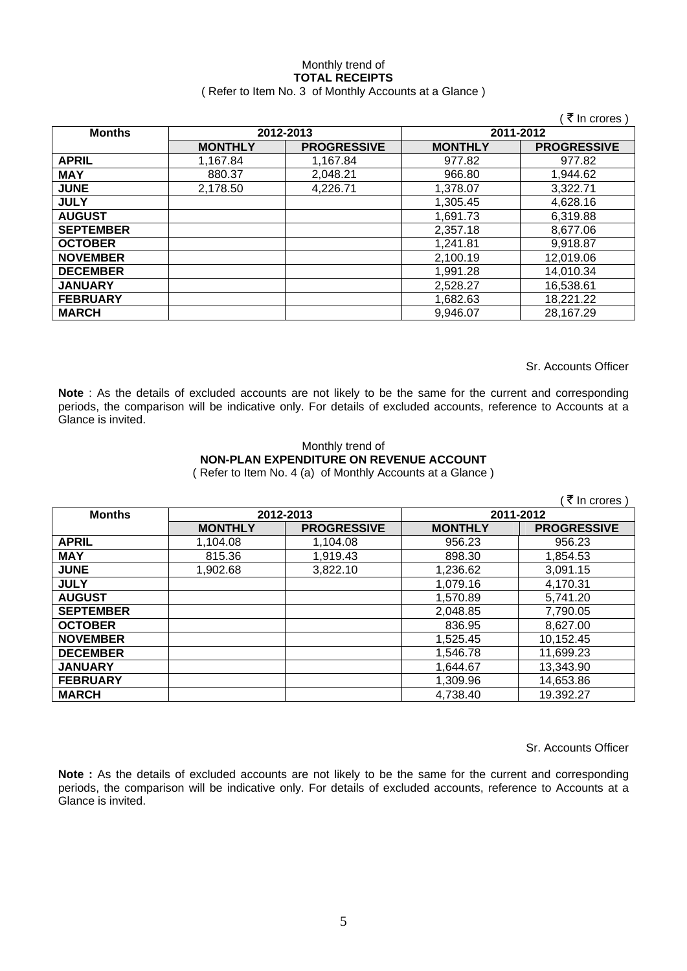#### Monthly trend of **TOTAL RECEIPTS**  ( Refer to Item No. 3 of Monthly Accounts at a Glance )

|                  |                |                    |                | ₹ In crores )      |
|------------------|----------------|--------------------|----------------|--------------------|
| <b>Months</b>    | 2012-2013      |                    | 2011-2012      |                    |
|                  | <b>MONTHLY</b> | <b>PROGRESSIVE</b> | <b>MONTHLY</b> | <b>PROGRESSIVE</b> |
| <b>APRIL</b>     | 1,167.84       | 1,167.84           | 977.82         | 977.82             |
| <b>MAY</b>       | 880.37         | 2,048.21           | 966.80         | 1,944.62           |
| <b>JUNE</b>      | 2,178.50       | 4,226.71           | 1,378.07       | 3,322.71           |
| <b>JULY</b>      |                |                    | 1,305.45       | 4,628.16           |
| <b>AUGUST</b>    |                |                    | 1,691.73       | 6,319.88           |
| <b>SEPTEMBER</b> |                |                    | 2,357.18       | 8,677.06           |
| <b>OCTOBER</b>   |                |                    | 1,241.81       | 9,918.87           |
| <b>NOVEMBER</b>  |                |                    | 2,100.19       | 12,019.06          |
| <b>DECEMBER</b>  |                |                    | 1,991.28       | 14,010.34          |
| <b>JANUARY</b>   |                |                    | 2,528.27       | 16,538.61          |
| <b>FEBRUARY</b>  |                |                    | 1,682.63       | 18,221.22          |
| <b>MARCH</b>     |                |                    | 9,946.07       | 28,167.29          |

Sr. Accounts Officer

**Note** : As the details of excluded accounts are not likely to be the same for the current and corresponding periods, the comparison will be indicative only. For details of excluded accounts, reference to Accounts at a Glance is invited.

#### Monthly trend of **NON-PLAN EXPENDITURE ON REVENUE ACCOUNT**  ( Refer to Item No. 4 (a) of Monthly Accounts at a Glance )

|                  |                |                    |                | ₹ In crores        |
|------------------|----------------|--------------------|----------------|--------------------|
| <b>Months</b>    | 2012-2013      |                    |                | 2011-2012          |
|                  | <b>MONTHLY</b> | <b>PROGRESSIVE</b> | <b>MONTHLY</b> | <b>PROGRESSIVE</b> |
| <b>APRIL</b>     | 1,104.08       | 1.104.08           | 956.23         | 956.23             |
| <b>MAY</b>       | 815.36         | 1,919.43           | 898.30         | 1,854.53           |
| <b>JUNE</b>      | 1,902.68       | 3,822.10           | 1,236.62       | 3,091.15           |
| <b>JULY</b>      |                |                    | 1,079.16       | 4,170.31           |
| <b>AUGUST</b>    |                |                    | 1,570.89       | 5,741.20           |
| <b>SEPTEMBER</b> |                |                    | 2,048.85       | 7,790.05           |
| <b>OCTOBER</b>   |                |                    | 836.95         | 8,627.00           |
| <b>NOVEMBER</b>  |                |                    | 1,525.45       | 10,152.45          |
| <b>DECEMBER</b>  |                |                    | 1,546.78       | 11,699.23          |
| <b>JANUARY</b>   |                |                    | 1,644.67       | 13,343.90          |
| <b>FEBRUARY</b>  |                |                    | 1,309.96       | 14,653.86          |
| <b>MARCH</b>     |                |                    | 4,738.40       | 19.392.27          |

Sr. Accounts Officer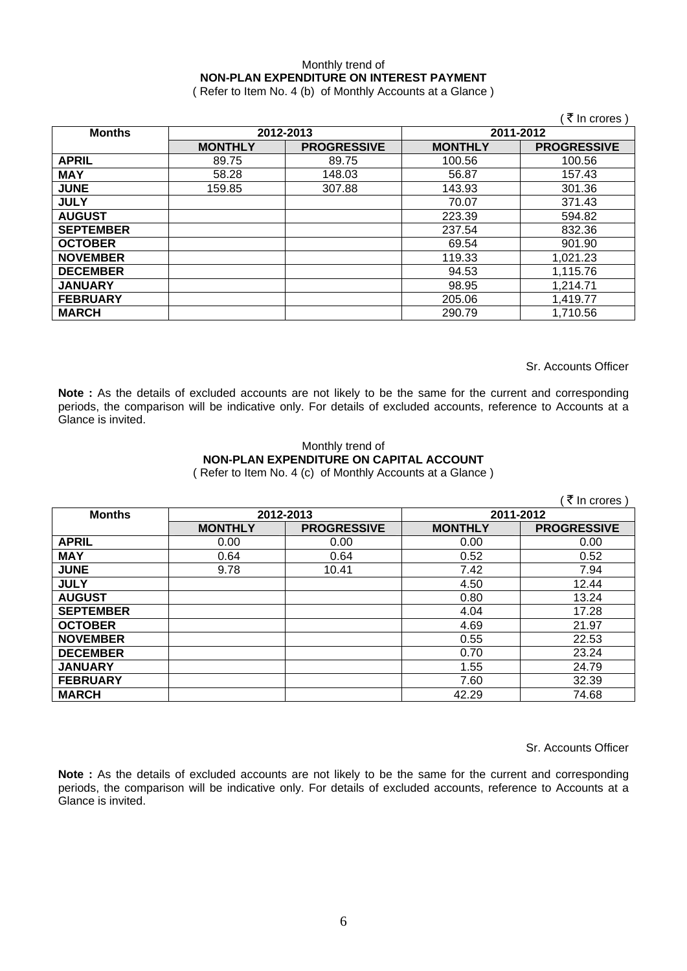### Monthly trend of **NON-PLAN EXPENDITURE ON INTEREST PAYMENT**

( Refer to Item No. 4 (b) of Monthly Accounts at a Glance )

|                  |                |                    |                | ₹ In crores)       |
|------------------|----------------|--------------------|----------------|--------------------|
| <b>Months</b>    |                | 2012-2013          | 2011-2012      |                    |
|                  | <b>MONTHLY</b> | <b>PROGRESSIVE</b> | <b>MONTHLY</b> | <b>PROGRESSIVE</b> |
| <b>APRIL</b>     | 89.75          | 89.75              | 100.56         | 100.56             |
| <b>MAY</b>       | 58.28          | 148.03             | 56.87          | 157.43             |
| <b>JUNE</b>      | 159.85         | 307.88             | 143.93         | 301.36             |
| <b>JULY</b>      |                |                    | 70.07          | 371.43             |
| <b>AUGUST</b>    |                |                    | 223.39         | 594.82             |
| <b>SEPTEMBER</b> |                |                    | 237.54         | 832.36             |
| <b>OCTOBER</b>   |                |                    | 69.54          | 901.90             |
| <b>NOVEMBER</b>  |                |                    | 119.33         | 1,021.23           |
| <b>DECEMBER</b>  |                |                    | 94.53          | 1,115.76           |
| <b>JANUARY</b>   |                |                    | 98.95          | 1,214.71           |
| <b>FEBRUARY</b>  |                |                    | 205.06         | 1,419.77           |
| <b>MARCH</b>     |                |                    | 290.79         | 1,710.56           |

Sr. Accounts Officer

**Note :** As the details of excluded accounts are not likely to be the same for the current and corresponding periods, the comparison will be indicative only. For details of excluded accounts, reference to Accounts at a Glance is invited.

#### Monthly trend of **NON-PLAN EXPENDITURE ON CAPITAL ACCOUNT**  ( Refer to Item No. 4 (c) of Monthly Accounts at a Glance )

|                  |                |                    |                | ₹ In crores        |
|------------------|----------------|--------------------|----------------|--------------------|
| <b>Months</b>    |                | 2012-2013          | 2011-2012      |                    |
|                  | <b>MONTHLY</b> | <b>PROGRESSIVE</b> | <b>MONTHLY</b> | <b>PROGRESSIVE</b> |
| <b>APRIL</b>     | 0.00           | 0.00               | 0.00           | 0.00               |
| <b>MAY</b>       | 0.64           | 0.64               | 0.52           | 0.52               |
| <b>JUNE</b>      | 9.78           | 10.41              | 7.42           | 7.94               |
| <b>JULY</b>      |                |                    | 4.50           | 12.44              |
| <b>AUGUST</b>    |                |                    | 0.80           | 13.24              |
| <b>SEPTEMBER</b> |                |                    | 4.04           | 17.28              |
| <b>OCTOBER</b>   |                |                    | 4.69           | 21.97              |
| <b>NOVEMBER</b>  |                |                    | 0.55           | 22.53              |
| <b>DECEMBER</b>  |                |                    | 0.70           | 23.24              |
| <b>JANUARY</b>   |                |                    | 1.55           | 24.79              |
| <b>FEBRUARY</b>  |                |                    | 7.60           | 32.39              |
| <b>MARCH</b>     |                |                    | 42.29          | 74.68              |

Sr. Accounts Officer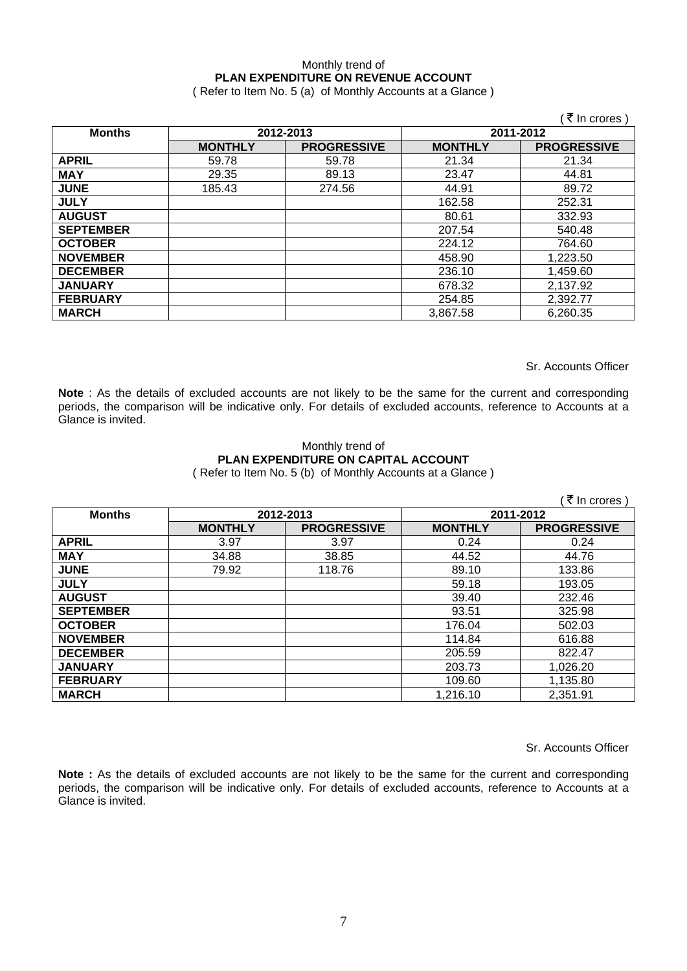### Monthly trend of **PLAN EXPENDITURE ON REVENUE ACCOUNT**

( Refer to Item No. 5 (a) of Monthly Accounts at a Glance )

|                  |                |                    |                | ़₹ In crores )     |
|------------------|----------------|--------------------|----------------|--------------------|
| <b>Months</b>    | 2012-2013      |                    | 2011-2012      |                    |
|                  | <b>MONTHLY</b> | <b>PROGRESSIVE</b> | <b>MONTHLY</b> | <b>PROGRESSIVE</b> |
| <b>APRIL</b>     | 59.78          | 59.78              | 21.34          | 21.34              |
| <b>MAY</b>       | 29.35          | 89.13              | 23.47          | 44.81              |
| <b>JUNE</b>      | 185.43         | 274.56             | 44.91          | 89.72              |
| <b>JULY</b>      |                |                    | 162.58         | 252.31             |
| <b>AUGUST</b>    |                |                    | 80.61          | 332.93             |
| <b>SEPTEMBER</b> |                |                    | 207.54         | 540.48             |
| <b>OCTOBER</b>   |                |                    | 224.12         | 764.60             |
| <b>NOVEMBER</b>  |                |                    | 458.90         | 1,223.50           |
| <b>DECEMBER</b>  |                |                    | 236.10         | 1,459.60           |
| <b>JANUARY</b>   |                |                    | 678.32         | 2,137.92           |
| <b>FEBRUARY</b>  |                |                    | 254.85         | 2,392.77           |
| <b>MARCH</b>     |                |                    | 3,867.58       | 6,260.35           |

Sr. Accounts Officer

**Note** : As the details of excluded accounts are not likely to be the same for the current and corresponding periods, the comparison will be indicative only. For details of excluded accounts, reference to Accounts at a Glance is invited.

#### Monthly trend of **PLAN EXPENDITURE ON CAPITAL ACCOUNT**  ( Refer to Item No. 5 (b) of Monthly Accounts at a Glance )

|                  |                |                    |                | ₹ In crores        |
|------------------|----------------|--------------------|----------------|--------------------|
| <b>Months</b>    | 2012-2013      |                    | 2011-2012      |                    |
|                  | <b>MONTHLY</b> | <b>PROGRESSIVE</b> | <b>MONTHLY</b> | <b>PROGRESSIVE</b> |
| <b>APRIL</b>     | 3.97           | 3.97               | 0.24           | 0.24               |
| <b>MAY</b>       | 34.88          | 38.85              | 44.52          | 44.76              |
| <b>JUNE</b>      | 79.92          | 118.76             | 89.10          | 133.86             |
| <b>JULY</b>      |                |                    | 59.18          | 193.05             |
| <b>AUGUST</b>    |                |                    | 39.40          | 232.46             |
| <b>SEPTEMBER</b> |                |                    | 93.51          | 325.98             |
| <b>OCTOBER</b>   |                |                    | 176.04         | 502.03             |
| <b>NOVEMBER</b>  |                |                    | 114.84         | 616.88             |
| <b>DECEMBER</b>  |                |                    | 205.59         | 822.47             |
| <b>JANUARY</b>   |                |                    | 203.73         | 1,026.20           |
| <b>FEBRUARY</b>  |                |                    | 109.60         | 1,135.80           |
| <b>MARCH</b>     |                |                    | 1,216.10       | 2,351.91           |

Sr. Accounts Officer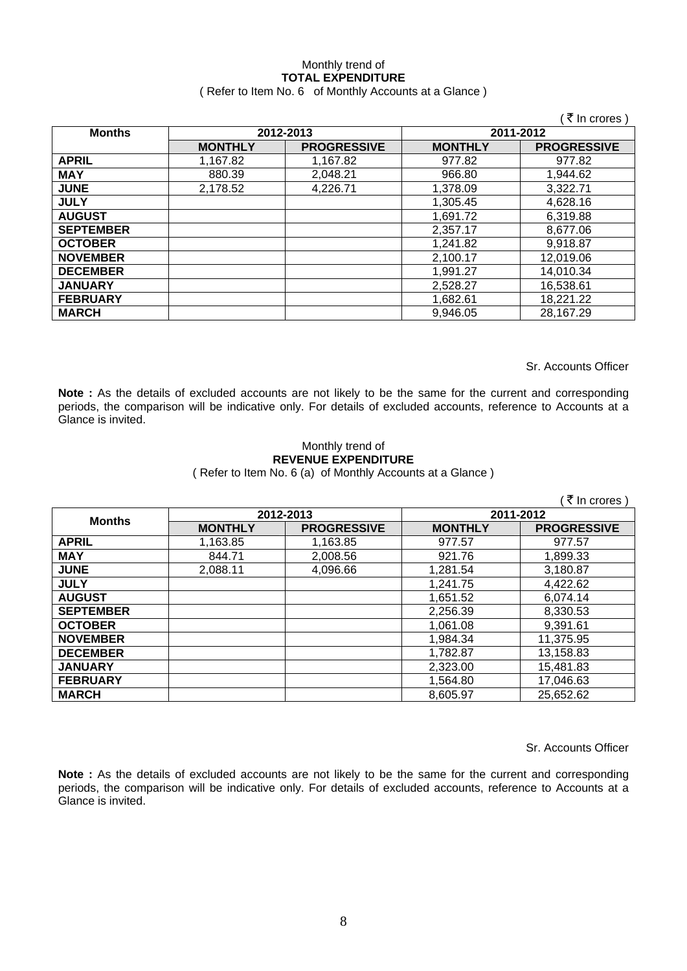# Monthly trend of **TOTAL EXPENDITURE**

| (Refer to Item No. 6 of Monthly Accounts at a Glance) |
|-------------------------------------------------------|
|                                                       |

|                  |                |                    |                | ( ₹ In crores )    |
|------------------|----------------|--------------------|----------------|--------------------|
| <b>Months</b>    | 2012-2013      |                    | 2011-2012      |                    |
|                  | <b>MONTHLY</b> | <b>PROGRESSIVE</b> | <b>MONTHLY</b> | <b>PROGRESSIVE</b> |
| <b>APRIL</b>     | 1,167.82       | 1,167.82           | 977.82         | 977.82             |
| <b>MAY</b>       | 880.39         | 2,048.21           | 966.80         | 1,944.62           |
| <b>JUNE</b>      | 2,178.52       | 4,226.71           | 1,378.09       | 3,322.71           |
| <b>JULY</b>      |                |                    | 1,305.45       | 4,628.16           |
| <b>AUGUST</b>    |                |                    | 1,691.72       | 6,319.88           |
| <b>SEPTEMBER</b> |                |                    | 2,357.17       | 8,677.06           |
| <b>OCTOBER</b>   |                |                    | 1,241.82       | 9,918.87           |
| <b>NOVEMBER</b>  |                |                    | 2,100.17       | 12,019.06          |
| <b>DECEMBER</b>  |                |                    | 1,991.27       | 14,010.34          |
| <b>JANUARY</b>   |                |                    | 2,528.27       | 16,538.61          |
| <b>FEBRUARY</b>  |                |                    | 1,682.61       | 18,221.22          |
| <b>MARCH</b>     |                |                    | 9,946.05       | 28,167.29          |

Sr. Accounts Officer

**Note :** As the details of excluded accounts are not likely to be the same for the current and corresponding periods, the comparison will be indicative only. For details of excluded accounts, reference to Accounts at a Glance is invited.

#### Monthly trend of **REVENUE EXPENDITURE**  ( Refer to Item No. 6 (a) of Monthly Accounts at a Glance )

|                  |                |                    |                | ₹ In crores        |  |
|------------------|----------------|--------------------|----------------|--------------------|--|
| <b>Months</b>    | 2012-2013      |                    |                | 2011-2012          |  |
|                  | <b>MONTHLY</b> | <b>PROGRESSIVE</b> | <b>MONTHLY</b> | <b>PROGRESSIVE</b> |  |
| <b>APRIL</b>     | 1,163.85       | 1,163.85           | 977.57         | 977.57             |  |
| <b>MAY</b>       | 844.71         | 2,008.56           | 921.76         | 1,899.33           |  |
| <b>JUNE</b>      | 2,088.11       | 4,096.66           | 1,281.54       | 3,180.87           |  |
| <b>JULY</b>      |                |                    | 1.241.75       | 4,422.62           |  |
| <b>AUGUST</b>    |                |                    | 1,651.52       | 6,074.14           |  |
| <b>SEPTEMBER</b> |                |                    | 2,256.39       | 8,330.53           |  |
| <b>OCTOBER</b>   |                |                    | 1,061.08       | 9,391.61           |  |
| <b>NOVEMBER</b>  |                |                    | 1,984.34       | 11,375.95          |  |
| <b>DECEMBER</b>  |                |                    | 1,782.87       | 13,158.83          |  |
| <b>JANUARY</b>   |                |                    | 2,323.00       | 15,481.83          |  |
| <b>FEBRUARY</b>  |                |                    | 1,564.80       | 17,046.63          |  |
| <b>MARCH</b>     |                |                    | 8,605.97       | 25,652.62          |  |

Sr. Accounts Officer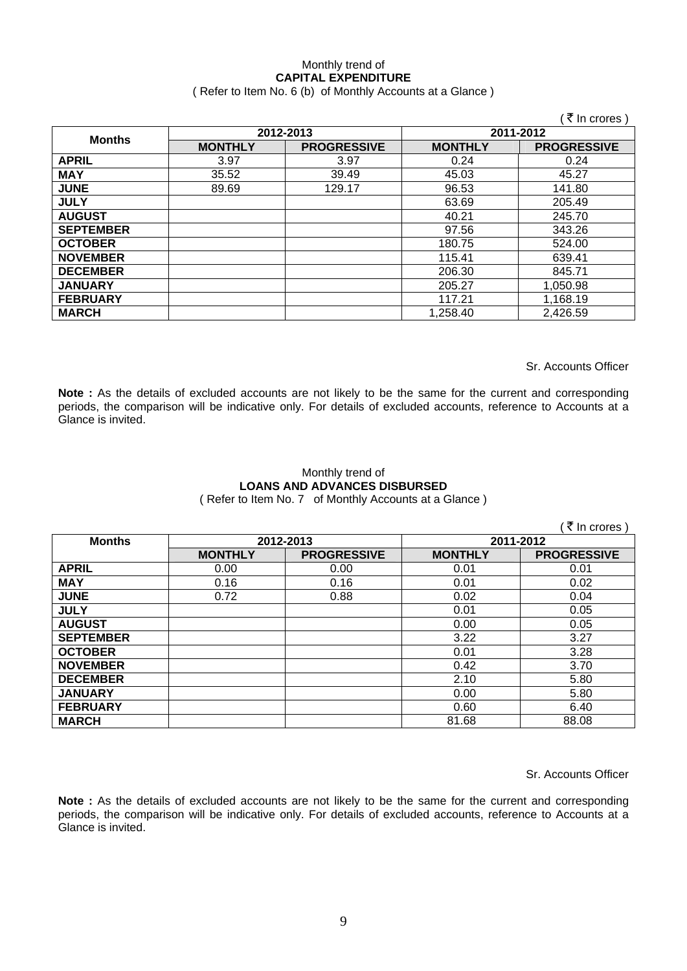## Monthly trend of **CAPITAL EXPENDITURE**

#### ( Refer to Item No. 6 (b) of Monthly Accounts at a Glance )

|                  |                |                    |                | ₹ In crores)       |  |
|------------------|----------------|--------------------|----------------|--------------------|--|
| <b>Months</b>    | 2012-2013      |                    |                | 2011-2012          |  |
|                  | <b>MONTHLY</b> | <b>PROGRESSIVE</b> | <b>MONTHLY</b> | <b>PROGRESSIVE</b> |  |
| <b>APRIL</b>     | 3.97           | 3.97               | 0.24           | 0.24               |  |
| <b>MAY</b>       | 35.52          | 39.49              | 45.03          | 45.27              |  |
| <b>JUNE</b>      | 89.69          | 129.17             | 96.53          | 141.80             |  |
| <b>JULY</b>      |                |                    | 63.69          | 205.49             |  |
| <b>AUGUST</b>    |                |                    | 40.21          | 245.70             |  |
| <b>SEPTEMBER</b> |                |                    | 97.56          | 343.26             |  |
| <b>OCTOBER</b>   |                |                    | 180.75         | 524.00             |  |
| <b>NOVEMBER</b>  |                |                    | 115.41         | 639.41             |  |
| <b>DECEMBER</b>  |                |                    | 206.30         | 845.71             |  |
| <b>JANUARY</b>   |                |                    | 205.27         | 1,050.98           |  |
| <b>FEBRUARY</b>  |                |                    | 117.21         | 1,168.19           |  |
| <b>MARCH</b>     |                |                    | 1,258.40       | 2,426.59           |  |

Sr. Accounts Officer

**Note :** As the details of excluded accounts are not likely to be the same for the current and corresponding periods, the comparison will be indicative only. For details of excluded accounts, reference to Accounts at a Glance is invited.

#### Monthly trend of **LOANS AND ADVANCES DISBURSED**  ( Refer to Item No. 7 of Monthly Accounts at a Glance )

|                  |                |                    |                | ₹ In crores )      |
|------------------|----------------|--------------------|----------------|--------------------|
| <b>Months</b>    | 2012-2013      |                    | 2011-2012      |                    |
|                  | <b>MONTHLY</b> | <b>PROGRESSIVE</b> | <b>MONTHLY</b> | <b>PROGRESSIVE</b> |
| <b>APRIL</b>     | 0.00           | 0.00               | 0.01           | 0.01               |
| <b>MAY</b>       | 0.16           | 0.16               | 0.01           | 0.02               |
| <b>JUNE</b>      | 0.72           | 0.88               | 0.02           | 0.04               |
| <b>JULY</b>      |                |                    | 0.01           | 0.05               |
| <b>AUGUST</b>    |                |                    | 0.00           | 0.05               |
| <b>SEPTEMBER</b> |                |                    | 3.22           | 3.27               |
| <b>OCTOBER</b>   |                |                    | 0.01           | 3.28               |
| <b>NOVEMBER</b>  |                |                    | 0.42           | 3.70               |
| <b>DECEMBER</b>  |                |                    | 2.10           | 5.80               |
| <b>JANUARY</b>   |                |                    | 0.00           | 5.80               |
| <b>FEBRUARY</b>  |                |                    | 0.60           | 6.40               |
| <b>MARCH</b>     |                |                    | 81.68          | 88.08              |

Sr. Accounts Officer